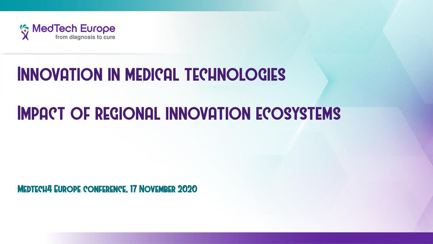

# Innovation in medical technologies

# Impact of regional innovation ecosystems

Medtech4 Europe conference, 17 November 2020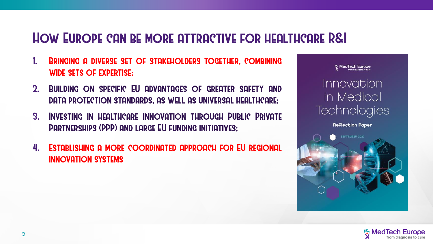### How Europe can be more attractive for healthcare R&I

- 1. Bringing a diverse set of stakeholders together, combining wide sets of expertise;
- 2. Building on specific EU advantages of greater safety and data protection standards, as well as universal healthcare;
- 3. Investing in healthcare innovation through Public Private Partnerships (PPP) and large EU funding initiatives;
- 4. Establishing a more coordinated approach for EU regional innovation systems

MedTech Europe<br>from diagnosis to curr

#### Innovation in Medical Technologies

**Reflection Paper** 



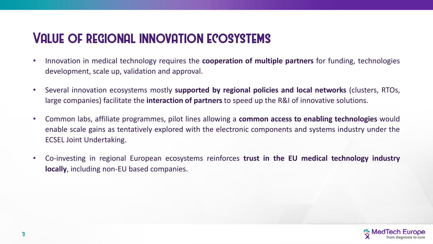## Value of regional innovation ecosystems

- Innovation in medical technology requires the **cooperation of multiple partners** for funding, technologies development, scale up, validation and approval.
- Several innovation ecosystems mostly **supported by regional policies and local networks** (clusters, RTOs, large companies) facilitate the **interaction of partners** to speed up the R&I of innovative solutions.
- Common labs, affiliate programmes, pilot lines allowing a **common access to enabling technologies** would enable scale gains as tentatively explored with the electronic components and systems industry under the ECSEL Joint Undertaking.
- Co-investing in regional European ecosystems reinforces **trust in the EU medical technology industry locally**, including non-EU based companies.

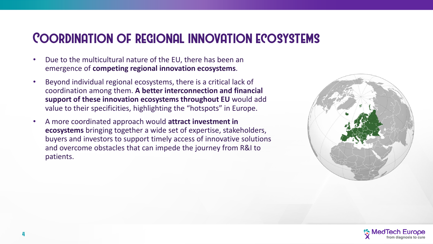### Coordination of regional innovation ecosystems

- Due to the multicultural nature of the EU, there has been an emergence of **competing regional innovation ecosystems**.
- Beyond individual regional ecosystems, there is a critical lack of coordination among them. **A better interconnection and financial support of these innovation ecosystems throughout EU** would add value to their specificities, highlighting the "hotspots" in Europe.
- A more coordinated approach would **attract investment in ecosystems** bringing together a wide set of expertise, stakeholders, buyers and investors to support timely access of innovative solutions and overcome obstacles that can impede the journey from R&I to patients.